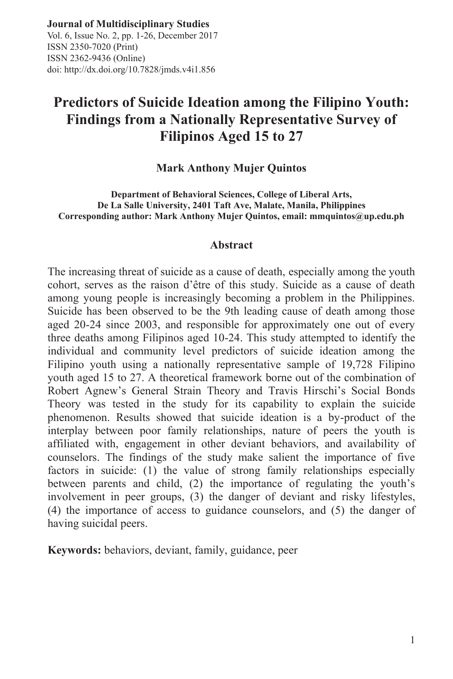**Journal of Multidisciplinary Studies** Vol. 6, Issue No. 2, pp. 1-26, December 2017<br>ISSN 3250-7020 (Drive) ISSN 2350-7020 (Print) ISSN 2362-9436 (Online) ISSN 2362-9436 (Online) doi: http://dx.doi.org/10.7828/jmds.v4i1.856 doi: http://dx.doi.org/10.7828/jmds.v4i1.856**Journal of Multidisciplinary Studies** ISSN 2350-7020 (Print)

# **Predictors of Suicide Ideation among the Filipino Youth: Findings from a Nationally Representative Survey of Filipinos Aged 15 to 27**

#### **Mark Anthony Mujer Quintos**

**Department of Behavioral Sciences, College of Liberal Arts, De La Salle University, 2401 Taft Ave, Malate, Manila, Philippines Corresponding author: Mark Anthony Mujer Quintos, email: mmquintos@up.edu.ph**

#### **Abstract**

The increasing threat of suicide as a cause of death, especially among the youth cohort, serves as the raison d"être of this study. Suicide as a cause of death among young people is increasingly becoming a problem in the Philippines. Suicide has been observed to be the 9th leading cause of death among those aged 20-24 since 2003, and responsible for approximately one out of every three deaths among Filipinos aged 10-24. This study attempted to identify the individual and community level predictors of suicide ideation among the Filipino youth using a nationally representative sample of 19,728 Filipino youth aged 15 to 27. A theoretical framework borne out of the combination of Robert Agnew's General Strain Theory and Travis Hirschi's Social Bonds Theory was tested in the study for its capability to explain the suicide phenomenon. Results showed that suicide ideation is a by-product of the interplay between poor family relationships, nature of peers the youth is affiliated with, engagement in other deviant behaviors, and availability of counselors. The findings of the study make salient the importance of five factors in suicide: (1) the value of strong family relationships especially between parents and child, (2) the importance of regulating the youth's involvement in peer groups, (3) the danger of deviant and risky lifestyles, (4) the importance of access to guidance counselors, and (5) the danger of having suicidal peers.

**Keywords:** behaviors, deviant, family, guidance, peer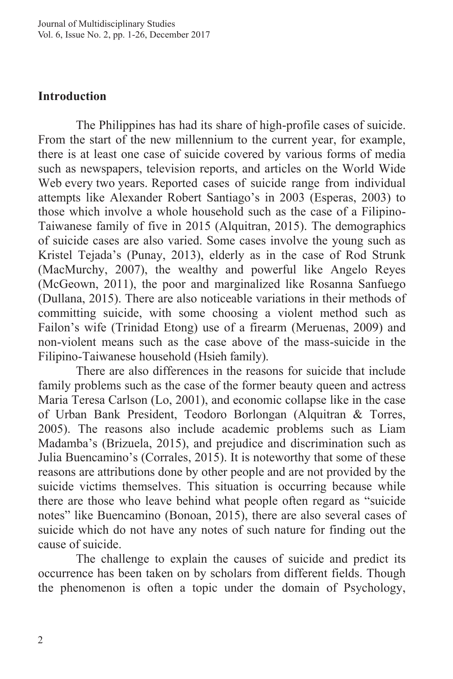#### **Introduction**

The Philippines has had its share of high-profile cases of suicide. From the start of the new millennium to the current year, for example, there is at least one case of suicide covered by various forms of media such as newspapers, television reports, and articles on the World Wide Web every two years. Reported cases of suicide range from individual attempts like Alexander Robert Santiago's in 2003 (Esperas, 2003) to those which involve a whole household such as the case of a Filipino-Taiwanese family of five in 2015 (Alquitran, 2015). The demographics of suicide cases are also varied. Some cases involve the young such as Kristel Tejada"s (Punay, 2013), elderly as in the case of Rod Strunk (MacMurchy, 2007), the wealthy and powerful like Angelo Reyes (McGeown, 2011), the poor and marginalized like Rosanna Sanfuego (Dullana, 2015). There are also noticeable variations in their methods of committing suicide, with some choosing a violent method such as Failon"s wife (Trinidad Etong) use of a firearm (Meruenas, 2009) and non-violent means such as the case above of the mass-suicide in the Filipino-Taiwanese household (Hsieh family).

There are also differences in the reasons for suicide that include family problems such as the case of the former beauty queen and actress Maria Teresa Carlson (Lo, 2001), and economic collapse like in the case of Urban Bank President, Teodoro Borlongan (Alquitran & Torres, 2005). The reasons also include academic problems such as Liam Madamba"s (Brizuela, 2015), and prejudice and discrimination such as Julia Buencamino"s (Corrales, 2015). It is noteworthy that some of these reasons are attributions done by other people and are not provided by the suicide victims themselves. This situation is occurring because while there are those who leave behind what people often regard as "suicide notes" like Buencamino (Bonoan, 2015), there are also several cases of suicide which do not have any notes of such nature for finding out the cause of suicide.

The challenge to explain the causes of suicide and predict its occurrence has been taken on by scholars from different fields. Though the phenomenon is often a topic under the domain of Psychology,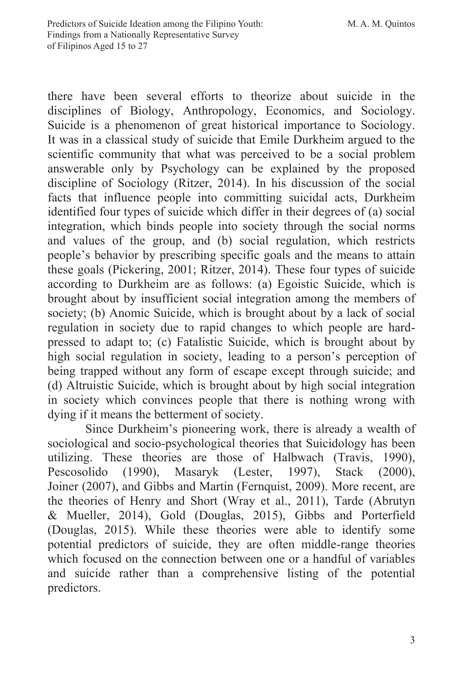there have been several efforts to theorize about suicide in the disciplines of Biology, Anthropology, Economics, and Sociology. Suicide is a phenomenon of great historical importance to Sociology. It was in a classical study of suicide that Emile Durkheim argued to the scientific community that what was perceived to be a social problem answerable only by Psychology can be explained by the proposed discipline of Sociology (Ritzer, 2014). In his discussion of the social facts that influence people into committing suicidal acts, Durkheim identified four types of suicide which differ in their degrees of (a) social integration, which binds people into society through the social norms and values of the group, and (b) social regulation, which restricts people"s behavior by prescribing specific goals and the means to attain these goals (Pickering, 2001; Ritzer, 2014). These four types of suicide according to Durkheim are as follows: (a) Egoistic Suicide, which is brought about by insufficient social integration among the members of society; (b) Anomic Suicide, which is brought about by a lack of social regulation in society due to rapid changes to which people are hardpressed to adapt to; (c) Fatalistic Suicide, which is brought about by high social regulation in society, leading to a person's perception of being trapped without any form of escape except through suicide; and (d) Altruistic Suicide, which is brought about by high social integration in society which convinces people that there is nothing wrong with dying if it means the betterment of society.

Since Durkheim"s pioneering work, there is already a wealth of sociological and socio-psychological theories that Suicidology has been utilizing. These theories are those of Halbwach (Travis, 1990), Pescosolido (1990), Masaryk (Lester, 1997), Stack (2000), Joiner (2007), and Gibbs and Martin (Fernquist, 2009). More recent, are the theories of Henry and Short (Wray et al., 2011), Tarde (Abrutyn & Mueller, 2014), Gold (Douglas, 2015), Gibbs and Porterfield (Douglas, 2015). While these theories were able to identify some potential predictors of suicide, they are often middle-range theories which focused on the connection between one or a handful of variables and suicide rather than a comprehensive listing of the potential predictors.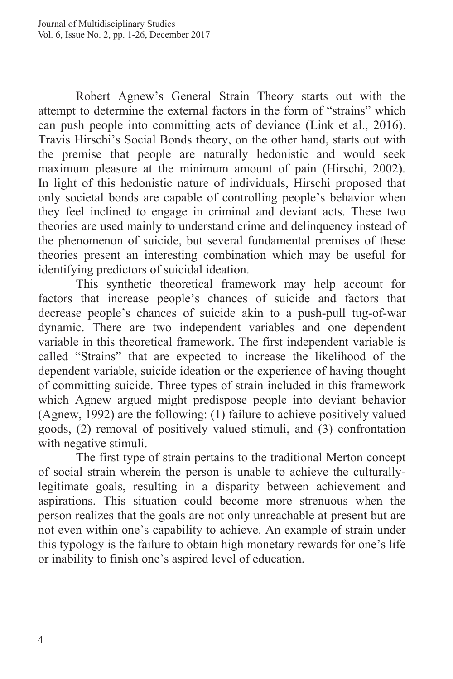Robert Agnew"s General Strain Theory starts out with the attempt to determine the external factors in the form of "strains" which can push people into committing acts of deviance (Link et al., 2016). Travis Hirschi"s Social Bonds theory, on the other hand, starts out with the premise that people are naturally hedonistic and would seek maximum pleasure at the minimum amount of pain (Hirschi, 2002). In light of this hedonistic nature of individuals, Hirschi proposed that only societal bonds are capable of controlling people"s behavior when they feel inclined to engage in criminal and deviant acts. These two theories are used mainly to understand crime and delinquency instead of the phenomenon of suicide, but several fundamental premises of these theories present an interesting combination which may be useful for identifying predictors of suicidal ideation.

This synthetic theoretical framework may help account for factors that increase people"s chances of suicide and factors that decrease people"s chances of suicide akin to a push-pull tug-of-war dynamic. There are two independent variables and one dependent variable in this theoretical framework. The first independent variable is called "Strains" that are expected to increase the likelihood of the dependent variable, suicide ideation or the experience of having thought of committing suicide. Three types of strain included in this framework which Agnew argued might predispose people into deviant behavior (Agnew, 1992) are the following: (1) failure to achieve positively valued goods, (2) removal of positively valued stimuli, and (3) confrontation with negative stimuli.

The first type of strain pertains to the traditional Merton concept of social strain wherein the person is unable to achieve the culturallylegitimate goals, resulting in a disparity between achievement and aspirations. This situation could become more strenuous when the person realizes that the goals are not only unreachable at present but are not even within one"s capability to achieve. An example of strain under this typology is the failure to obtain high monetary rewards for one"s life or inability to finish one"s aspired level of education.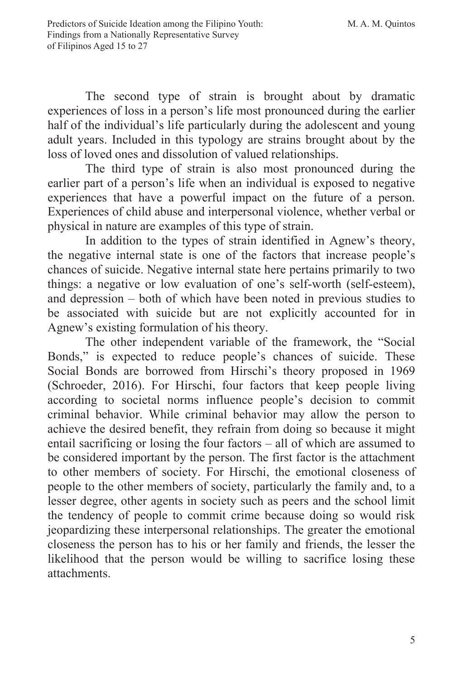The second type of strain is brought about by dramatic experiences of loss in a person's life most pronounced during the earlier half of the individual's life particularly during the adolescent and young adult years. Included in this typology are strains brought about by the loss of loved ones and dissolution of valued relationships.

The third type of strain is also most pronounced during the earlier part of a person's life when an individual is exposed to negative experiences that have a powerful impact on the future of a person. Experiences of child abuse and interpersonal violence, whether verbal or physical in nature are examples of this type of strain.

In addition to the types of strain identified in Agnew"s theory, the negative internal state is one of the factors that increase people"s chances of suicide. Negative internal state here pertains primarily to two things: a negative or low evaluation of one"s self-worth (self-esteem), and depression – both of which have been noted in previous studies to be associated with suicide but are not explicitly accounted for in Agnew"s existing formulation of his theory.

The other independent variable of the framework, the "Social Bonds," is expected to reduce people's chances of suicide. These Social Bonds are borrowed from Hirschi's theory proposed in 1969 (Schroeder, 2016). For Hirschi, four factors that keep people living according to societal norms influence people"s decision to commit criminal behavior. While criminal behavior may allow the person to achieve the desired benefit, they refrain from doing so because it might entail sacrificing or losing the four factors – all of which are assumed to be considered important by the person. The first factor is the attachment to other members of society. For Hirschi, the emotional closeness of people to the other members of society, particularly the family and, to a lesser degree, other agents in society such as peers and the school limit the tendency of people to commit crime because doing so would risk jeopardizing these interpersonal relationships. The greater the emotional closeness the person has to his or her family and friends, the lesser the likelihood that the person would be willing to sacrifice losing these attachments.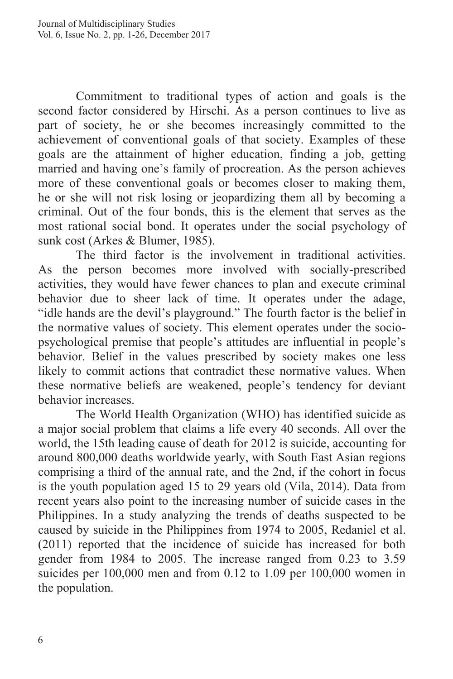Commitment to traditional types of action and goals is the second factor considered by Hirschi. As a person continues to live as part of society, he or she becomes increasingly committed to the achievement of conventional goals of that society. Examples of these goals are the attainment of higher education, finding a job, getting married and having one's family of procreation. As the person achieves more of these conventional goals or becomes closer to making them, he or she will not risk losing or jeopardizing them all by becoming a criminal. Out of the four bonds, this is the element that serves as the most rational social bond. It operates under the social psychology of sunk cost (Arkes & Blumer, 1985).

The third factor is the involvement in traditional activities. As the person becomes more involved with socially-prescribed activities, they would have fewer chances to plan and execute criminal behavior due to sheer lack of time. It operates under the adage, "idle hands are the devil"s playground." The fourth factor is the belief in the normative values of society. This element operates under the sociopsychological premise that people"s attitudes are influential in people"s behavior. Belief in the values prescribed by society makes one less likely to commit actions that contradict these normative values. When these normative beliefs are weakened, people"s tendency for deviant behavior increases.

The World Health Organization (WHO) has identified suicide as a major social problem that claims a life every 40 seconds. All over the world, the 15th leading cause of death for 2012 is suicide, accounting for around 800,000 deaths worldwide yearly, with South East Asian regions comprising a third of the annual rate, and the 2nd, if the cohort in focus is the youth population aged 15 to 29 years old (Vila, 2014). Data from recent years also point to the increasing number of suicide cases in the Philippines. In a study analyzing the trends of deaths suspected to be caused by suicide in the Philippines from 1974 to 2005, Redaniel et al. (2011) reported that the incidence of suicide has increased for both gender from 1984 to 2005. The increase ranged from 0.23 to 3.59 suicides per 100,000 men and from 0.12 to 1.09 per 100,000 women in the population.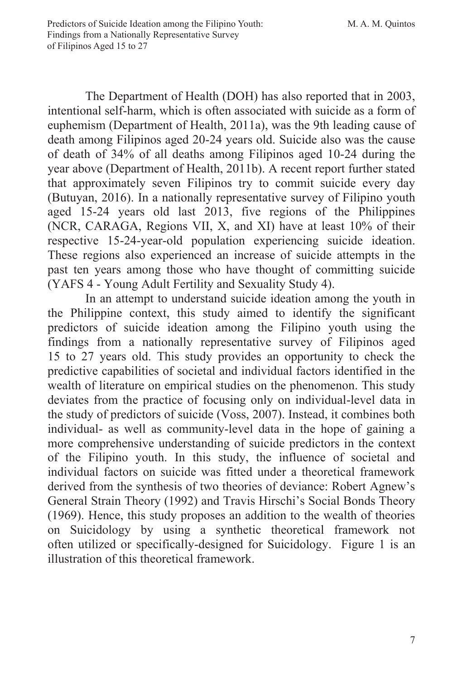The Department of Health (DOH) has also reported that in 2003, intentional self-harm, which is often associated with suicide as a form of euphemism (Department of Health, 2011a), was the 9th leading cause of death among Filipinos aged 20-24 years old. Suicide also was the cause of death of 34% of all deaths among Filipinos aged 10-24 during the year above (Department of Health, 2011b). A recent report further stated that approximately seven Filipinos try to commit suicide every day (Butuyan, 2016). In a nationally representative survey of Filipino youth aged 15-24 years old last 2013, five regions of the Philippines (NCR, CARAGA, Regions VII, X, and XI) have at least 10% of their respective 15-24-year-old population experiencing suicide ideation. These regions also experienced an increase of suicide attempts in the past ten years among those who have thought of committing suicide (YAFS 4 - Young Adult Fertility and Sexuality Study 4).

In an attempt to understand suicide ideation among the youth in the Philippine context, this study aimed to identify the significant predictors of suicide ideation among the Filipino youth using the findings from a nationally representative survey of Filipinos aged 15 to 27 years old. This study provides an opportunity to check the predictive capabilities of societal and individual factors identified in the wealth of literature on empirical studies on the phenomenon. This study deviates from the practice of focusing only on individual-level data in the study of predictors of suicide (Voss, 2007). Instead, it combines both individual- as well as community-level data in the hope of gaining a more comprehensive understanding of suicide predictors in the context of the Filipino youth. In this study, the influence of societal and individual factors on suicide was fitted under a theoretical framework derived from the synthesis of two theories of deviance: Robert Agnew"s General Strain Theory (1992) and Travis Hirschi"s Social Bonds Theory (1969). Hence, this study proposes an addition to the wealth of theories on Suicidology by using a synthetic theoretical framework not often utilized or specifically-designed for Suicidology. Figure 1 is an illustration of this theoretical framework.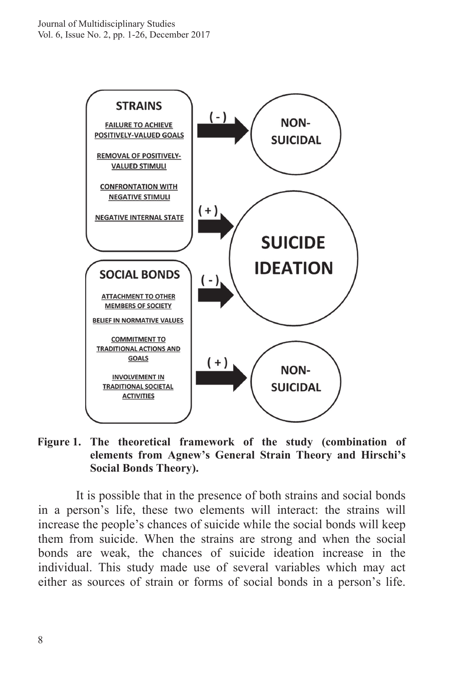

**Figure 1. The theoretical framework of the study (combination of elements from Agnew's General Strain Theory and Hirschi's Social Bonds Theory).**

It is possible that in the presence of both strains and social bonds in a person"s life, these two elements will interact: the strains will increase the people"s chances of suicide while the social bonds will keep them from suicide. When the strains are strong and when the social bonds are weak, the chances of suicide ideation increase in the individual. This study made use of several variables which may act either as sources of strain or forms of social bonds in a person"s life.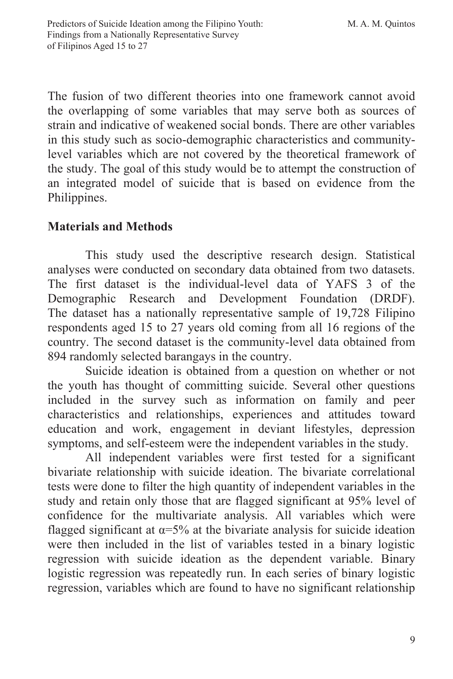The fusion of two different theories into one framework cannot avoid the overlapping of some variables that may serve both as sources of strain and indicative of weakened social bonds. There are other variables in this study such as socio-demographic characteristics and communitylevel variables which are not covered by the theoretical framework of the study. The goal of this study would be to attempt the construction of an integrated model of suicide that is based on evidence from the Philippines.

## **Materials and Methods**

This study used the descriptive research design. Statistical analyses were conducted on secondary data obtained from two datasets. The first dataset is the individual-level data of YAFS 3 of the Demographic Research and Development Foundation (DRDF). The dataset has a nationally representative sample of 19,728 Filipino respondents aged 15 to 27 years old coming from all 16 regions of the country. The second dataset is the community-level data obtained from 894 randomly selected barangays in the country.

Suicide ideation is obtained from a question on whether or not the youth has thought of committing suicide. Several other questions included in the survey such as information on family and peer characteristics and relationships, experiences and attitudes toward education and work, engagement in deviant lifestyles, depression symptoms, and self-esteem were the independent variables in the study.

All independent variables were first tested for a significant bivariate relationship with suicide ideation. The bivariate correlational tests were done to filter the high quantity of independent variables in the study and retain only those that are flagged significant at 95% level of confidence for the multivariate analysis. All variables which were flagged significant at  $\alpha = 5\%$  at the bivariate analysis for suicide ideation were then included in the list of variables tested in a binary logistic regression with suicide ideation as the dependent variable. Binary logistic regression was repeatedly run. In each series of binary logistic regression, variables which are found to have no significant relationship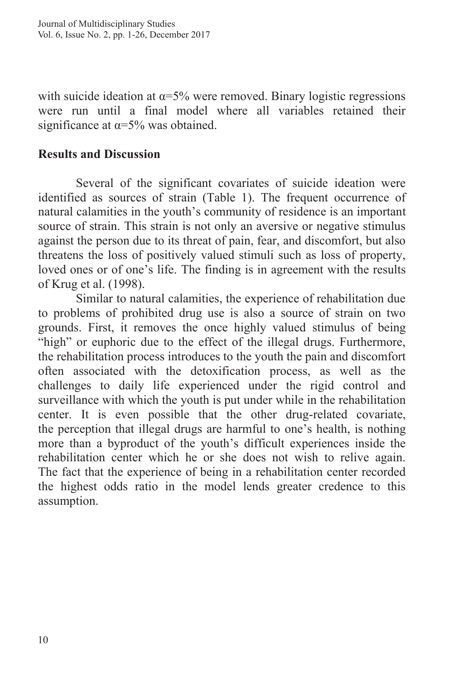with suicide ideation at  $\alpha = 5\%$  were removed. Binary logistic regressions were run until a final model where all variables retained their significance at  $\alpha = 5\%$  was obtained.

#### **Results and Discussion**

Several of the significant covariates of suicide ideation were identified as sources of strain (Table 1). The frequent occurrence of natural calamities in the youth's community of residence is an important source of strain. This strain is not only an aversive or negative stimulus against the person due to its threat of pain, fear, and discomfort, but also threatens the loss of positively valued stimuli such as loss of property, loved ones or of one's life. The finding is in agreement with the results of Krug et al. (1998).

Similar to natural calamities, the experience of rehabilitation due to problems of prohibited drug use is also a source of strain on two grounds. First, it removes the once highly valued stimulus of being "high" or euphoric due to the effect of the illegal drugs. Furthermore, the rehabilitation process introduces to the youth the pain and discomfort often associated with the detoxification process, as well as the challenges to daily life experienced under the rigid control and surveillance with which the youth is put under while in the rehabilitation center. It is even possible that the other drug-related covariate, the perception that illegal drugs are harmful to one"s health, is nothing more than a byproduct of the youth's difficult experiences inside the rehabilitation center which he or she does not wish to relive again. The fact that the experience of being in a rehabilitation center recorded the highest odds ratio in the model lends greater credence to this assumption.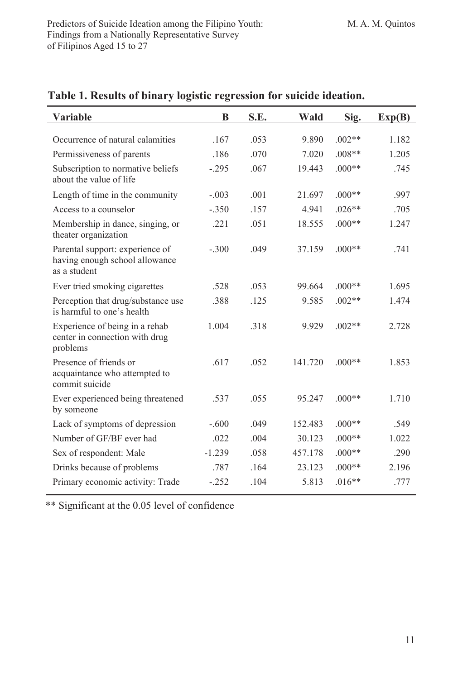| Variable                                                                          | B        | S.E. | Wald    | Sig.     | Exp(B) |
|-----------------------------------------------------------------------------------|----------|------|---------|----------|--------|
| Occurrence of natural calamities                                                  | .167     | .053 | 9.890   | $.002**$ | 1.182  |
| Permissiveness of parents                                                         | .186     | .070 | 7.020   | $.008**$ | 1.205  |
| Subscription to normative beliefs<br>about the value of life                      | $-.295$  | .067 | 19.443  | $.000**$ | .745   |
| Length of time in the community                                                   | $-.003$  | .001 | 21.697  | $.000**$ | .997   |
| Access to a counselor                                                             | $-.350$  | .157 | 4.941   | $.026**$ | .705   |
| Membership in dance, singing, or<br>theater organization                          | .221     | .051 | 18.555  | $.000**$ | 1.247  |
| Parental support: experience of<br>having enough school allowance<br>as a student | $-.300$  | .049 | 37.159  | $.000**$ | .741   |
| Ever tried smoking cigarettes                                                     | .528     | .053 | 99.664  | $.000**$ | 1.695  |
| Perception that drug/substance use<br>is harmful to one's health                  | .388     | .125 | 9.585   | $.002**$ | 1.474  |
| Experience of being in a rehab<br>center in connection with drug<br>problems      | 1.004    | .318 | 9.929   | $.002**$ | 2.728  |
| Presence of friends or<br>acquaintance who attempted to<br>commit suicide         | .617     | .052 | 141.720 | $.000**$ | 1.853  |
| Ever experienced being threatened<br>by someone                                   | .537     | .055 | 95.247  | $.000**$ | 1.710  |
| Lack of symptoms of depression                                                    | $-.600$  | .049 | 152.483 | $.000**$ | .549   |
| Number of GF/BF ever had                                                          | .022     | .004 | 30.123  | $.000**$ | 1.022  |
| Sex of respondent: Male                                                           | $-1.239$ | .058 | 457.178 | $.000**$ | .290   |
| Drinks because of problems                                                        | .787     | .164 | 23.123  | $.000**$ | 2.196  |
| Primary economic activity: Trade                                                  | $-.252$  | .104 | 5.813   | $.016**$ | .777   |

#### **Table 1. Results of binary logistic regression for suicide ideation.**

\*\* Significant at the 0.05 level of confidence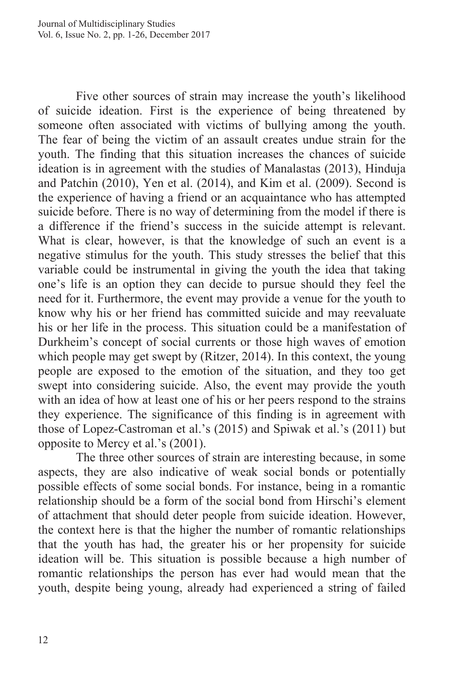Five other sources of strain may increase the youth's likelihood of suicide ideation. First is the experience of being threatened by someone often associated with victims of bullying among the youth. The fear of being the victim of an assault creates undue strain for the youth. The finding that this situation increases the chances of suicide ideation is in agreement with the studies of Manalastas (2013), Hinduja and Patchin (2010), Yen et al. (2014), and Kim et al. (2009). Second is the experience of having a friend or an acquaintance who has attempted suicide before. There is no way of determining from the model if there is a difference if the friend"s success in the suicide attempt is relevant. What is clear, however, is that the knowledge of such an event is a negative stimulus for the youth. This study stresses the belief that this variable could be instrumental in giving the youth the idea that taking one"s life is an option they can decide to pursue should they feel the need for it. Furthermore, the event may provide a venue for the youth to know why his or her friend has committed suicide and may reevaluate his or her life in the process. This situation could be a manifestation of Durkheim"s concept of social currents or those high waves of emotion which people may get swept by (Ritzer, 2014). In this context, the young people are exposed to the emotion of the situation, and they too get swept into considering suicide. Also, the event may provide the youth with an idea of how at least one of his or her peers respond to the strains they experience. The significance of this finding is in agreement with those of Lopez-Castroman et al."s (2015) and Spiwak et al."s (2011) but opposite to Mercy et al."s (2001).

The three other sources of strain are interesting because, in some aspects, they are also indicative of weak social bonds or potentially possible effects of some social bonds. For instance, being in a romantic relationship should be a form of the social bond from Hirschi"s element of attachment that should deter people from suicide ideation. However, the context here is that the higher the number of romantic relationships that the youth has had, the greater his or her propensity for suicide ideation will be. This situation is possible because a high number of romantic relationships the person has ever had would mean that the youth, despite being young, already had experienced a string of failed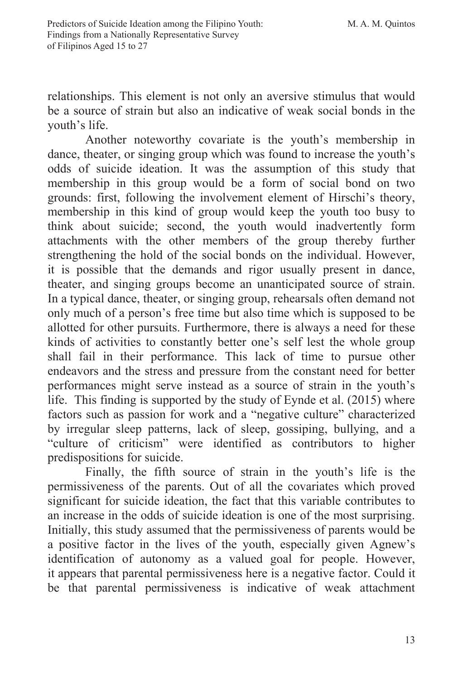relationships. This element is not only an aversive stimulus that would be a source of strain but also an indicative of weak social bonds in the youth"s life.

Another noteworthy covariate is the youth"s membership in dance, theater, or singing group which was found to increase the youth's odds of suicide ideation. It was the assumption of this study that membership in this group would be a form of social bond on two grounds: first, following the involvement element of Hirschi's theory, membership in this kind of group would keep the youth too busy to think about suicide; second, the youth would inadvertently form attachments with the other members of the group thereby further strengthening the hold of the social bonds on the individual. However, it is possible that the demands and rigor usually present in dance, theater, and singing groups become an unanticipated source of strain. In a typical dance, theater, or singing group, rehearsals often demand not only much of a person"s free time but also time which is supposed to be allotted for other pursuits. Furthermore, there is always a need for these kinds of activities to constantly better one"s self lest the whole group shall fail in their performance. This lack of time to pursue other endeavors and the stress and pressure from the constant need for better performances might serve instead as a source of strain in the youth"s life. This finding is supported by the study of Eynde et al. (2015) where factors such as passion for work and a "negative culture" characterized by irregular sleep patterns, lack of sleep, gossiping, bullying, and a "culture of criticism" were identified as contributors to higher predispositions for suicide.

Finally, the fifth source of strain in the youth's life is the permissiveness of the parents. Out of all the covariates which proved significant for suicide ideation, the fact that this variable contributes to an increase in the odds of suicide ideation is one of the most surprising. Initially, this study assumed that the permissiveness of parents would be a positive factor in the lives of the youth, especially given Agnew"s identification of autonomy as a valued goal for people. However, it appears that parental permissiveness here is a negative factor. Could it be that parental permissiveness is indicative of weak attachment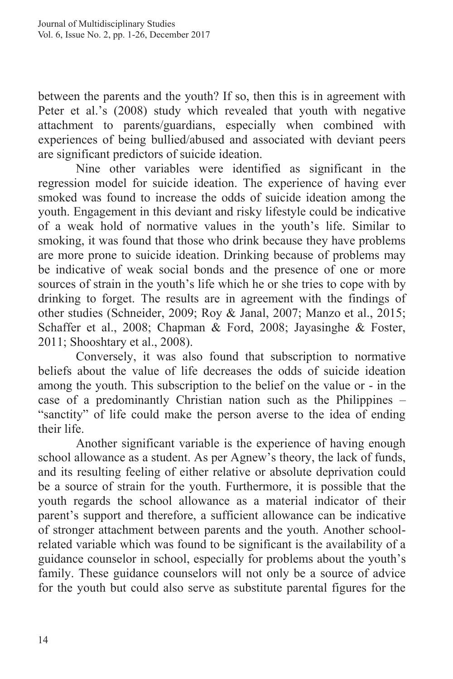between the parents and the youth? If so, then this is in agreement with Peter et al.'s (2008) study which revealed that youth with negative attachment to parents/guardians, especially when combined with experiences of being bullied/abused and associated with deviant peers are significant predictors of suicide ideation.

Nine other variables were identified as significant in the regression model for suicide ideation. The experience of having ever smoked was found to increase the odds of suicide ideation among the youth. Engagement in this deviant and risky lifestyle could be indicative of a weak hold of normative values in the youth"s life. Similar to smoking, it was found that those who drink because they have problems are more prone to suicide ideation. Drinking because of problems may be indicative of weak social bonds and the presence of one or more sources of strain in the youth's life which he or she tries to cope with by drinking to forget. The results are in agreement with the findings of other studies (Schneider, 2009; Roy & Janal, 2007; Manzo et al., 2015; Schaffer et al., 2008; Chapman & Ford, 2008; Jayasinghe & Foster, 2011; Shooshtary et al., 2008).

Conversely, it was also found that subscription to normative beliefs about the value of life decreases the odds of suicide ideation among the youth. This subscription to the belief on the value or - in the case of a predominantly Christian nation such as the Philippines – "sanctity" of life could make the person averse to the idea of ending their life.

Another significant variable is the experience of having enough school allowance as a student. As per Agnew"s theory, the lack of funds, and its resulting feeling of either relative or absolute deprivation could be a source of strain for the youth. Furthermore, it is possible that the youth regards the school allowance as a material indicator of their parent's support and therefore, a sufficient allowance can be indicative of stronger attachment between parents and the youth. Another schoolrelated variable which was found to be significant is the availability of a guidance counselor in school, especially for problems about the youth"s family. These guidance counselors will not only be a source of advice for the youth but could also serve as substitute parental figures for the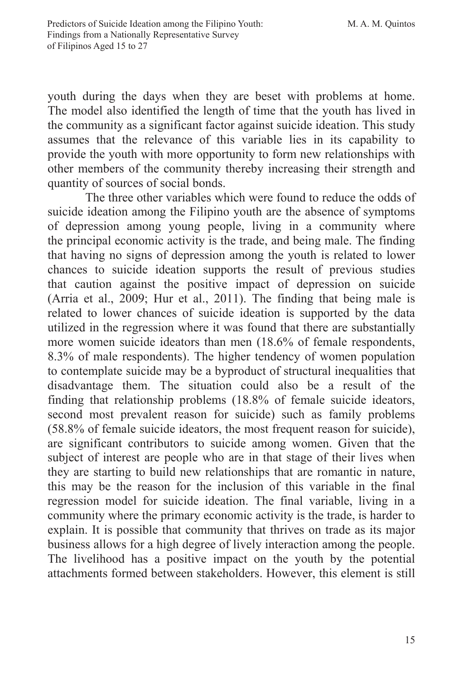youth during the days when they are beset with problems at home. The model also identified the length of time that the youth has lived in the community as a significant factor against suicide ideation. This study assumes that the relevance of this variable lies in its capability to provide the youth with more opportunity to form new relationships with other members of the community thereby increasing their strength and quantity of sources of social bonds.

The three other variables which were found to reduce the odds of suicide ideation among the Filipino youth are the absence of symptoms of depression among young people, living in a community where the principal economic activity is the trade, and being male. The finding that having no signs of depression among the youth is related to lower chances to suicide ideation supports the result of previous studies that caution against the positive impact of depression on suicide (Arria et al., 2009; Hur et al., 2011). The finding that being male is related to lower chances of suicide ideation is supported by the data utilized in the regression where it was found that there are substantially more women suicide ideators than men (18.6% of female respondents, 8.3% of male respondents). The higher tendency of women population to contemplate suicide may be a byproduct of structural inequalities that disadvantage them. The situation could also be a result of the finding that relationship problems (18.8% of female suicide ideators, second most prevalent reason for suicide) such as family problems (58.8% of female suicide ideators, the most frequent reason for suicide), are significant contributors to suicide among women. Given that the subject of interest are people who are in that stage of their lives when they are starting to build new relationships that are romantic in nature, this may be the reason for the inclusion of this variable in the final regression model for suicide ideation. The final variable, living in a community where the primary economic activity is the trade, is harder to explain. It is possible that community that thrives on trade as its major business allows for a high degree of lively interaction among the people. The livelihood has a positive impact on the youth by the potential attachments formed between stakeholders. However, this element is still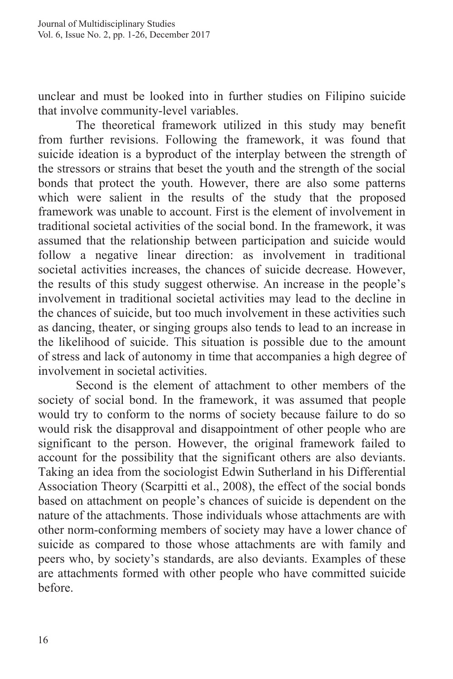unclear and must be looked into in further studies on Filipino suicide that involve community-level variables.

The theoretical framework utilized in this study may benefit from further revisions. Following the framework, it was found that suicide ideation is a byproduct of the interplay between the strength of the stressors or strains that beset the youth and the strength of the social bonds that protect the youth. However, there are also some patterns which were salient in the results of the study that the proposed framework was unable to account. First is the element of involvement in traditional societal activities of the social bond. In the framework, it was assumed that the relationship between participation and suicide would follow a negative linear direction: as involvement in traditional societal activities increases, the chances of suicide decrease. However, the results of this study suggest otherwise. An increase in the people"s involvement in traditional societal activities may lead to the decline in the chances of suicide, but too much involvement in these activities such as dancing, theater, or singing groups also tends to lead to an increase in the likelihood of suicide. This situation is possible due to the amount of stress and lack of autonomy in time that accompanies a high degree of involvement in societal activities.

Second is the element of attachment to other members of the society of social bond. In the framework, it was assumed that people would try to conform to the norms of society because failure to do so would risk the disapproval and disappointment of other people who are significant to the person. However, the original framework failed to account for the possibility that the significant others are also deviants. Taking an idea from the sociologist Edwin Sutherland in his Differential Association Theory (Scarpitti et al., 2008), the effect of the social bonds based on attachment on people"s chances of suicide is dependent on the nature of the attachments. Those individuals whose attachments are with other norm-conforming members of society may have a lower chance of suicide as compared to those whose attachments are with family and peers who, by society"s standards, are also deviants. Examples of these are attachments formed with other people who have committed suicide before.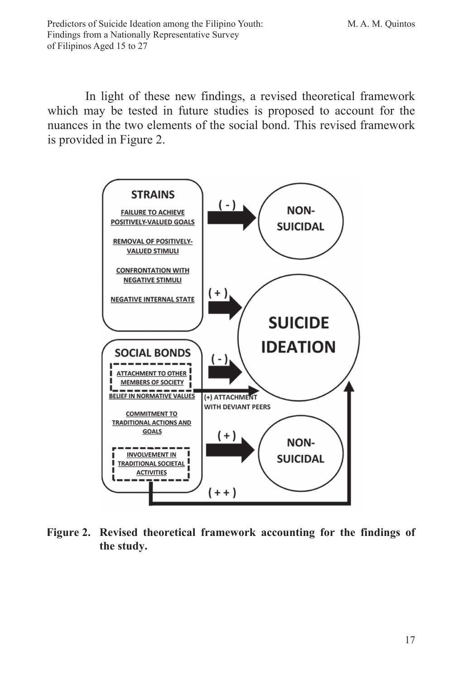I redictors of Burelet Retailer among Findings from a Nationally Representative Survey Predictors of Suicide Ideation among the Filipino Youth: M. A. M. Quintos of Filipinos Aged 15 to 27

In light of these new findings, a revised theoretical framework which may be tested in future studies is proposed to account for the nuances in the two elements of the social bond. This revised framework is provided in Figure 2.



**Figure 2. Revised theoretical framework accounting for the findings of the study.**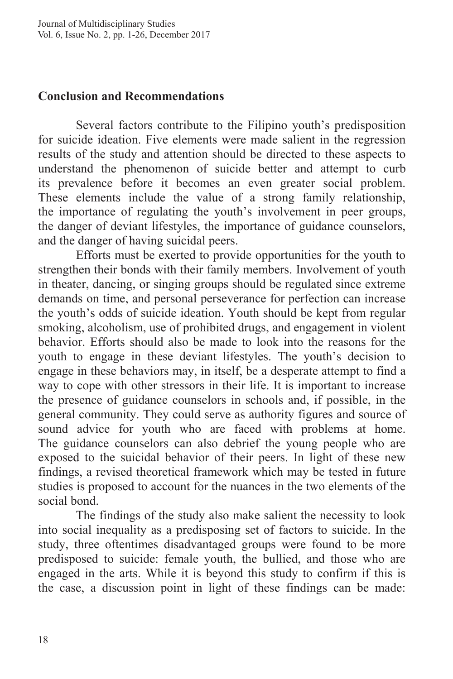#### **Conclusion and Recommendations**

Several factors contribute to the Filipino youth's predisposition for suicide ideation. Five elements were made salient in the regression results of the study and attention should be directed to these aspects to understand the phenomenon of suicide better and attempt to curb its prevalence before it becomes an even greater social problem. These elements include the value of a strong family relationship, the importance of regulating the youth's involvement in peer groups, the danger of deviant lifestyles, the importance of guidance counselors, and the danger of having suicidal peers.

Efforts must be exerted to provide opportunities for the youth to strengthen their bonds with their family members. Involvement of youth in theater, dancing, or singing groups should be regulated since extreme demands on time, and personal perseverance for perfection can increase the youth's odds of suicide ideation. Youth should be kept from regular smoking, alcoholism, use of prohibited drugs, and engagement in violent behavior. Efforts should also be made to look into the reasons for the youth to engage in these deviant lifestyles. The youth"s decision to engage in these behaviors may, in itself, be a desperate attempt to find a way to cope with other stressors in their life. It is important to increase the presence of guidance counselors in schools and, if possible, in the general community. They could serve as authority figures and source of sound advice for youth who are faced with problems at home. The guidance counselors can also debrief the young people who are exposed to the suicidal behavior of their peers. In light of these new findings, a revised theoretical framework which may be tested in future studies is proposed to account for the nuances in the two elements of the social bond.

The findings of the study also make salient the necessity to look into social inequality as a predisposing set of factors to suicide. In the study, three oftentimes disadvantaged groups were found to be more predisposed to suicide: female youth, the bullied, and those who are engaged in the arts. While it is beyond this study to confirm if this is the case, a discussion point in light of these findings can be made: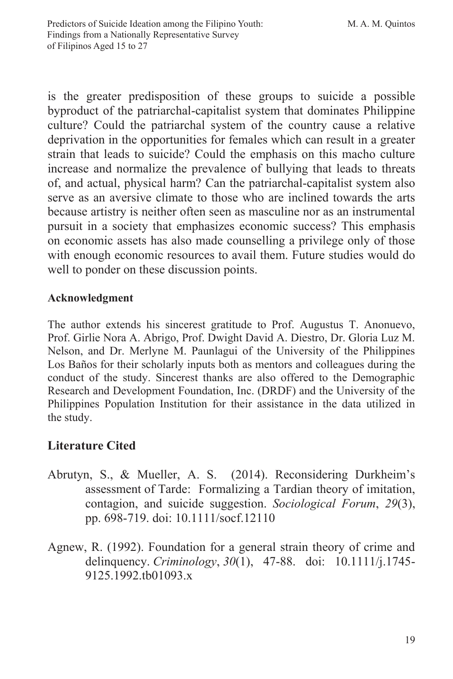is the greater predisposition of these groups to suicide a possible byproduct of the patriarchal-capitalist system that dominates Philippine culture? Could the patriarchal system of the country cause a relative deprivation in the opportunities for females which can result in a greater strain that leads to suicide? Could the emphasis on this macho culture increase and normalize the prevalence of bullying that leads to threats of, and actual, physical harm? Can the patriarchal-capitalist system also serve as an aversive climate to those who are inclined towards the arts because artistry is neither often seen as masculine nor as an instrumental pursuit in a society that emphasizes economic success? This emphasis on economic assets has also made counselling a privilege only of those with enough economic resources to avail them. Future studies would do well to ponder on these discussion points.

#### **Acknowledgment**

The author extends his sincerest gratitude to Prof. Augustus T. Anonuevo, Prof. Girlie Nora A. Abrigo, Prof. Dwight David A. Diestro, Dr. Gloria Luz M. Nelson, and Dr. Merlyne M. Paunlagui of the University of the Philippines Los Baños for their scholarly inputs both as mentors and colleagues during the conduct of the study. Sincerest thanks are also offered to the Demographic Research and Development Foundation, Inc. (DRDF) and the University of the Philippines Population Institution for their assistance in the data utilized in the study.

### **Literature Cited**

- Abrutyn, S., & Mueller, A. S. (2014). Reconsidering Durkheim"s assessment of Tarde: Formalizing a Tardian theory of imitation, contagion, and suicide suggestion. *Sociological Forum*, *29*(3), pp. 698-719. doi: 10.1111/socf.12110
- Agnew, R. (1992). Foundation for a general strain theory of crime and delinquency. *Criminology*, *30*(1), 47-88. doi: 10.1111/j.1745- 9125.1992.tb01093.x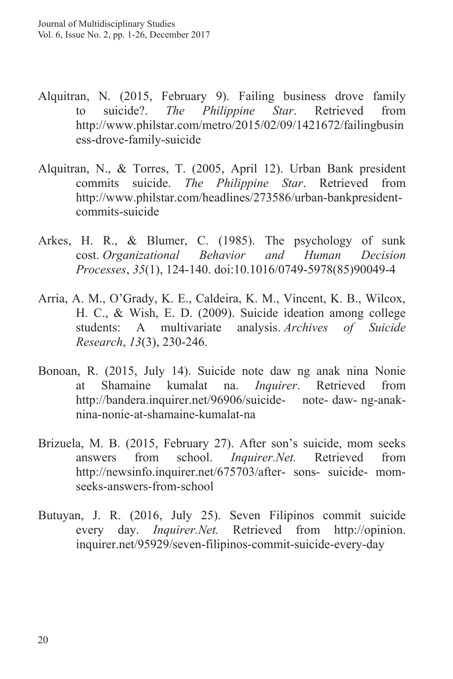- Alquitran, N. (2015, February 9). Failing business drove family to suicide?. *The Philippine Star*. Retrieved from http://www.philstar.com/metro/2015/02/09/1421672/failingbusin ess-drove-family-suicide
- Alquitran, N., & Torres, T. (2005, April 12). Urban Bank president commits suicide. *The Philippine Star*. Retrieved from http://www.philstar.com/headlines/273586/urban-bankpresidentcommits-suicide
- Arkes, H. R., & Blumer, C. (1985). The psychology of sunk cost. *Organizational Behavior and Human Decision Processes*, *35*(1), 124-140. doi:10.1016/0749-5978(85)90049-4
- Arria, A. M., O"Grady, K. E., Caldeira, K. M., Vincent, K. B., Wilcox, H. C., & Wish, E. D. (2009). Suicide ideation among college students: A multivariate analysis. *Archives of Suicide Research*, *13*(3), 230-246.
- Bonoan, R. (2015, July 14). Suicide note daw ng anak nina Nonie at Shamaine kumalat na. *Inquirer*. Retrieved from http://bandera.inquirer.net/96906/suicide- note- daw- ng-anaknina-nonie-at-shamaine-kumalat-na
- Brizuela, M. B. (2015, February 27). After son's suicide, mom seeks answers from school. *Inquirer.Net.* Retrieved from http://newsinfo.inquirer.net/675703/after- sons- suicide- momseeks-answers-from-school
- Butuyan, J. R. (2016, July 25). Seven Filipinos commit suicide every day. *Inquirer.Net.* Retrieved from http://opinion. inquirer.net/95929/seven-filipinos-commit-suicide-every-day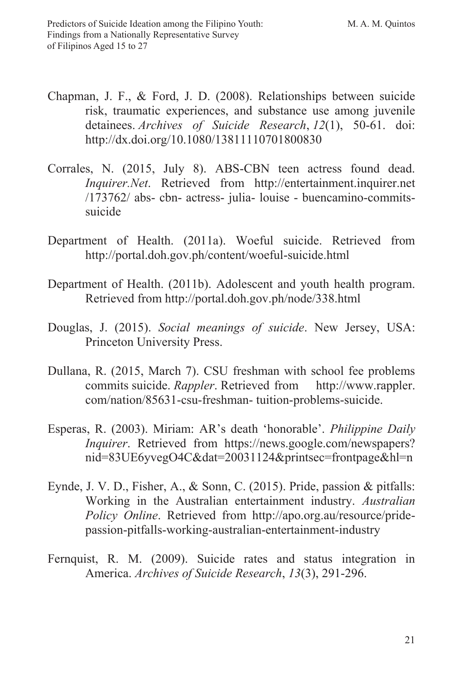- Chapman, J. F., & Ford, J. D. (2008). Relationships between suicide risk, traumatic experiences, and substance use among juvenile detainees. *Archives of Suicide Research*, *12*(1), 50-61. doi: http://dx.doi.org/10.1080/13811110701800830
- Corrales, N. (2015, July 8). ABS-CBN teen actress found dead. *Inquirer.Net*. Retrieved from http://entertainment.inquirer.net /173762/ abs- cbn- actress- julia- louise - buencamino-commitssuicide
- Department of Health. (2011a). Woeful suicide. Retrieved from http://portal.doh.gov.ph/content/woeful-suicide.html
- Department of Health. (2011b). Adolescent and youth health program. Retrieved from http://portal.doh.gov.ph/node/338.html
- Douglas, J. (2015). *Social meanings of suicide*. New Jersey, USA: Princeton University Press.
- Dullana, R. (2015, March 7). CSU freshman with school fee problems commits suicide. *Rappler*. Retrieved from http://www.rappler. com/nation/85631-csu-freshman- tuition-problems-suicide.
- Esperas, R. (2003). Miriam: AR"s death "honorable". *Philippine Daily Inquirer*. Retrieved from https://news.google.com/newspapers? nid=83UE6yvegO4C&dat=20031124&printsec=frontpage&hl=n
- Eynde, J. V. D., Fisher, A., & Sonn, C. (2015). Pride, passion & pitfalls: Working in the Australian entertainment industry. *Australian Policy Online*. Retrieved from http://apo.org.au/resource/pridepassion-pitfalls-working-australian-entertainment-industry
- Fernquist, R. M. (2009). Suicide rates and status integration in America. *Archives of Suicide Research*, *13*(3), 291-296.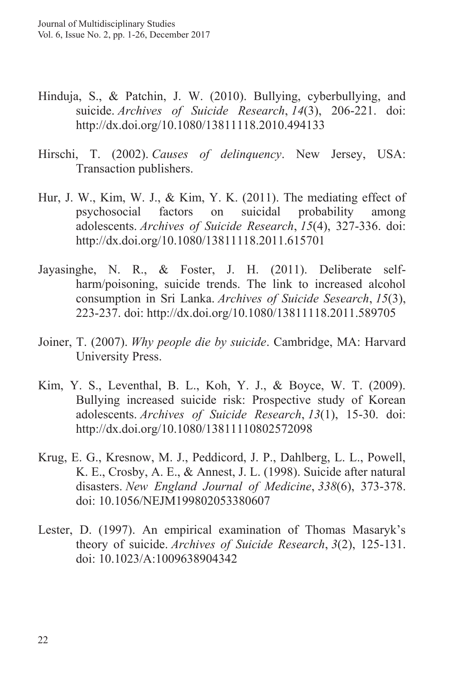- Hinduja, S., & Patchin, J. W. (2010). Bullying, cyberbullying, and suicide. *Archives of Suicide Research*, *14*(3), 206-221. doi: http://dx.doi.org/10.1080/13811118.2010.494133
- Hirschi, T. (2002). *Causes of delinquency*. New Jersey, USA: Transaction publishers.
- Hur, J. W., Kim, W. J., & Kim, Y. K. (2011). The mediating effect of psychosocial factors on suicidal probability among adolescents. *Archives of Suicide Research*, *15*(4), 327-336. doi: http://dx.doi.org/10.1080/13811118.2011.615701
- Jayasinghe, N. R., & Foster, J. H. (2011). Deliberate selfharm/poisoning, suicide trends. The link to increased alcohol consumption in Sri Lanka. *Archives of Suicide Sesearch*, *15*(3), 223-237. doi: http://dx.doi.org/10.1080/13811118.2011.589705
- Joiner, T. (2007). *Why people die by suicide*. Cambridge, MA: Harvard University Press.
- Kim, Y. S., Leventhal, B. L., Koh, Y. J., & Boyce, W. T. (2009). Bullying increased suicide risk: Prospective study of Korean adolescents. *Archives of Suicide Research*, *13*(1), 15-30. doi: http://dx.doi.org/10.1080/13811110802572098
- Krug, E. G., Kresnow, M. J., Peddicord, J. P., Dahlberg, L. L., Powell, K. E., Crosby, A. E., & Annest, J. L. (1998). Suicide after natural disasters. *New England Journal of Medicine*, *338*(6), 373-378. doi: 10.1056/NEJM199802053380607
- Lester, D. (1997). An empirical examination of Thomas Masaryk"s theory of suicide. *Archives of Suicide Research*, *3*(2), 125-131. doi: 10.1023/A:1009638904342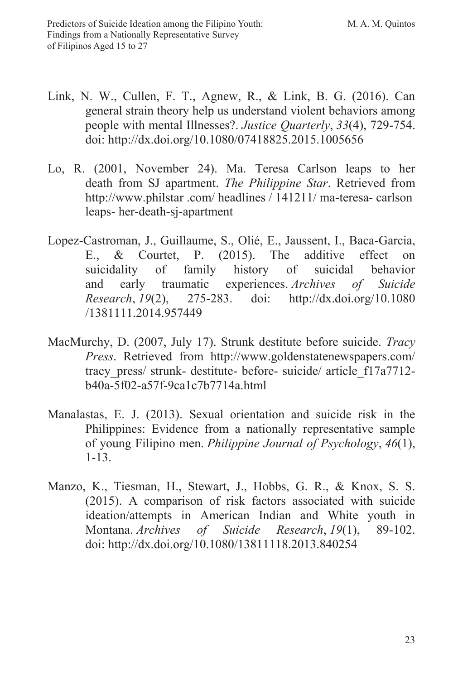- Link, N. W., Cullen, F. T., Agnew, R., & Link, B. G. (2016). Can general strain theory help us understand violent behaviors among people with mental Illnesses?. *Justice Quarterly*, *33*(4), 729-754. doi: http://dx.doi.org/10.1080/07418825.2015.1005656
- Lo, R. (2001, November 24). Ma. Teresa Carlson leaps to her death from SJ apartment. *The Philippine Star*. Retrieved from http://www.philstar .com/ headlines / 141211/ ma-teresa- carlson leaps- her-death-sj-apartment
- Lopez-Castroman, J., Guillaume, S., Olié, E., Jaussent, I., Baca-Garcia, E., & Courtet, P. (2015). The additive effect on suicidality of family history of suicidal behavior and early traumatic experiences. *Archives of Suicide Research*, *19*(2), 275-283. doi: http://dx.doi.org/10.1080 /1381111.2014.957449
- MacMurchy, D. (2007, July 17). Strunk destitute before suicide. *Tracy Press*. Retrieved from http://www.goldenstatenewspapers.com/ tracy\_press/ strunk- destitute- before- suicide/ article\_f17a7712 b40a-5f02-a57f-9ca1c7b7714a.html
- Manalastas, E. J. (2013). Sexual orientation and suicide risk in the Philippines: Evidence from a nationally representative sample of young Filipino men. *Philippine Journal of Psychology*, *46*(1), 1-13.
- Manzo, K., Tiesman, H., Stewart, J., Hobbs, G. R., & Knox, S. S. (2015). A comparison of risk factors associated with suicide ideation/attempts in American Indian and White youth in Montana. *Archives of Suicide Research*, *19*(1), 89-102. doi: http://dx.doi.org/10.1080/13811118.2013.840254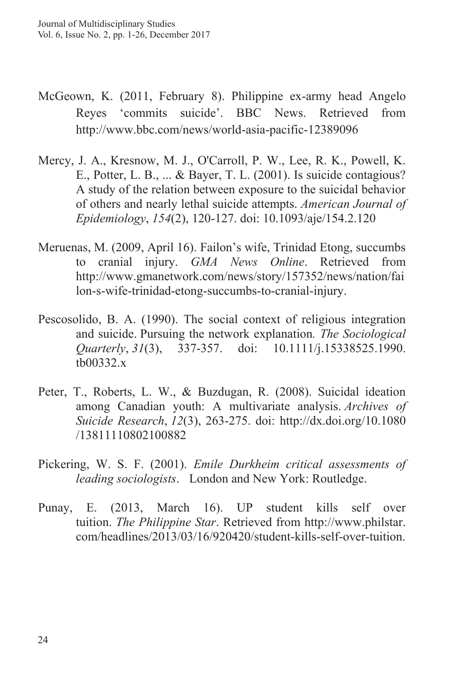- McGeown, K. (2011, February 8). Philippine ex-army head Angelo Reyes "commits suicide". BBC News. Retrieved from http://www.bbc.com/news/world-asia-pacific-12389096
- Mercy, J. A., Kresnow, M. J., O'Carroll, P. W., Lee, R. K., Powell, K. E., Potter, L. B., ... & Bayer, T. L. (2001). Is suicide contagious? A study of the relation between exposure to the suicidal behavior of others and nearly lethal suicide attempts. *American Journal of Epidemiology*, *154*(2), 120-127. doi: 10.1093/aje/154.2.120
- Meruenas, M. (2009, April 16). Failon"s wife, Trinidad Etong, succumbs to cranial injury. *GMA News Online*. Retrieved from http://www.gmanetwork.com/news/story/157352/news/nation/fai lon-s-wife-trinidad-etong-succumbs-to-cranial-injury.
- Pescosolido, B. A. (1990). The social context of religious integration and suicide. Pursuing the network explanation*. The Sociological Quarterly*, *31*(3), 337-357. doi: 10.1111/j.15338525.1990. tb00332.x
- Peter, T., Roberts, L. W., & Buzdugan, R. (2008). Suicidal ideation among Canadian youth: A multivariate analysis. *Archives of Suicide Research*, *12*(3), 263-275. doi: http://dx.doi.org/10.1080 /13811110802100882
- Pickering, W. S. F. (2001). *Emile Durkheim critical assessments of leading sociologists*. London and New York: Routledge.
- Punay, E. (2013, March 16). UP student kills self over tuition. *The Philippine Star*. Retrieved from http://www.philstar. com/headlines/2013/03/16/920420/student-kills-self-over-tuition.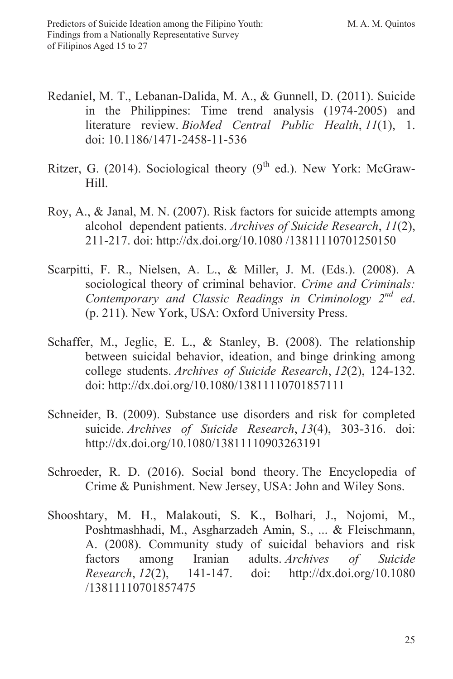- Redaniel, M. T., Lebanan-Dalida, M. A., & Gunnell, D. (2011). Suicide in the Philippines: Time trend analysis (1974-2005) and literature review. *BioMed Central Public Health*, *11*(1), 1. doi: 10.1186/1471-2458-11-536
- Ritzer, G. (2014). Sociological theory  $(9<sup>th</sup>$  ed.). New York: McGraw-Hill.
- Roy, A., & Janal, M. N. (2007). Risk factors for suicide attempts among alcohol dependent patients. *Archives of Suicide Research*, *11*(2), 211-217. doi: http://dx.doi.org/10.1080 /13811110701250150
- Scarpitti, F. R., Nielsen, A. L., & Miller, J. M. (Eds.). (2008). A sociological theory of criminal behavior. *Crime and Criminals: Contemporary and Classic Readings in Criminology 2nd ed*. (p. 211). New York, USA: Oxford University Press.
- Schaffer, M., Jeglic, E. L., & Stanley, B. (2008). The relationship between suicidal behavior, ideation, and binge drinking among college students. *Archives of Suicide Research*, *12*(2), 124-132. doi: http://dx.doi.org/10.1080/13811110701857111
- Schneider, B. (2009). Substance use disorders and risk for completed suicide. *Archives of Suicide Research*, *13*(4), 303-316. doi: http://dx.doi.org/10.1080/13811110903263191
- Schroeder, R. D. (2016). Social bond theory. The Encyclopedia of Crime & Punishment. New Jersey, USA: John and Wiley Sons.
- Shooshtary, M. H., Malakouti, S. K., Bolhari, J., Nojomi, M., Poshtmashhadi, M., Asgharzadeh Amin, S., ... & Fleischmann, A. (2008). Community study of suicidal behaviors and risk factors among Iranian adults. *Archives of Suicide Research*, *12*(2), 141-147. doi: http://dx.doi.org/10.1080 /13811110701857475